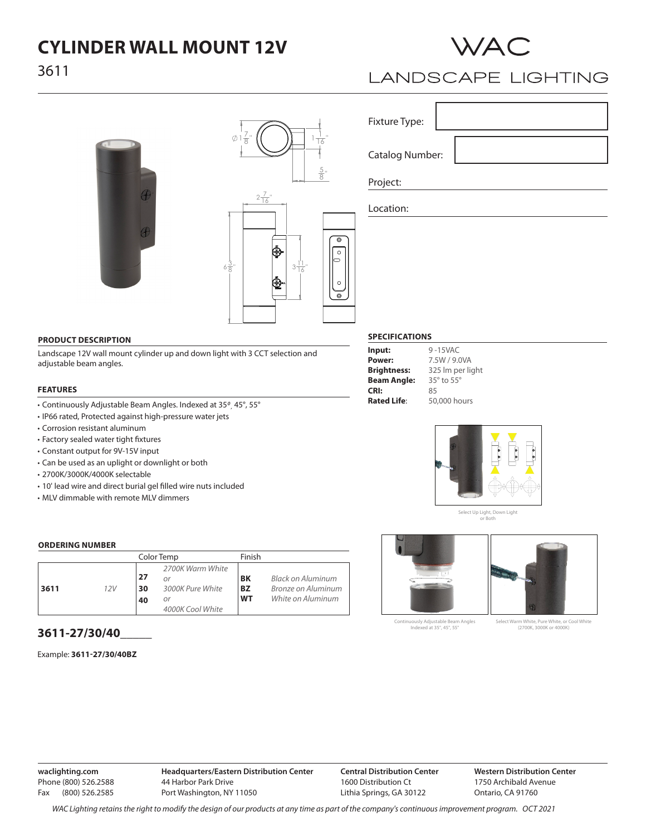# **CYLINDER WALL MOUNT 12V**





# **LANDSCAPE LIGHTING**

| ì |  |
|---|--|
|   |  |
|   |  |
|   |  |
|   |  |
|   |  |



#### **PRODUCT DESCRIPTION**

Landscape 12V wall mount cylinder up and down light with 3 CCT selection and adjustable beam angles.

### **FEATURES**

- Continuously Adjustable Beam Angles. Indexed at 35*0 ,* 45°, 55°
- IP66 rated, Protected against high-pressure water jets
- Corrosion resistant aluminum
- Factory sealed water tight fixtures
- Constant output for 9V-15V input
- Can be used as an uplight or downlight or both
- 2700K/3000K/4000K selectable
- 10' lead wire and direct burial gel filled wire nuts included
- MLV dimmable with remote MLV dimmers

### **ORDERING NUMBER**

|      |     | Color Temp      |                                                                      | Finish                              |                                                              |
|------|-----|-----------------|----------------------------------------------------------------------|-------------------------------------|--------------------------------------------------------------|
| 3611 | 12V | -27<br>30<br>40 | 2700K Warm White<br>Οľ<br>3000K Pure White<br>Οľ<br>4000K Cool White | <b>BK</b><br><b>BZ</b><br><b>WT</b> | Black on Aluminum<br>Bronze on Aluminum<br>White on Aluminum |

# **3611-27/30/40\_\_\_\_\_**

Example: **3611-27/30/40BZ**

| Fixture Type:          |  |  |
|------------------------|--|--|
| <b>Catalog Number:</b> |  |  |
|                        |  |  |

Project:

Location:



Continuously Adjustable Beam Angles Indexed at 35°, 45°, 55°

Select Warm White, Pure White, or Cool White (2700K, 3000K or 4000K)

**waclighting.com** Phone (800) 526.2588 Fax (800) 526.2585 **Headquarters/Eastern Distribution Center** 44 Harbor Park Drive Port Washington, NY 11050

**Central Distribution Center** 1600 Distribution Ct Lithia Springs, GA 30122

**Western Distribution Center**  1750 Archibald Avenue Ontario, CA 91760

*WAC Lighting retains the right to modify the design of our products at any time as part of the company's continuous improvement program. Oct 2021*

# **SPECIFICATIONS**

| Input:             |
|--------------------|
| Power:             |
| <b>Brightness:</b> |
| <b>Beam Angle:</b> |
| CRI:               |
| <b>Rated Life:</b> |

7.5W / 9.0VA 325 lm per light 35° to 55° 85 50,000 hours

9 -15VAC